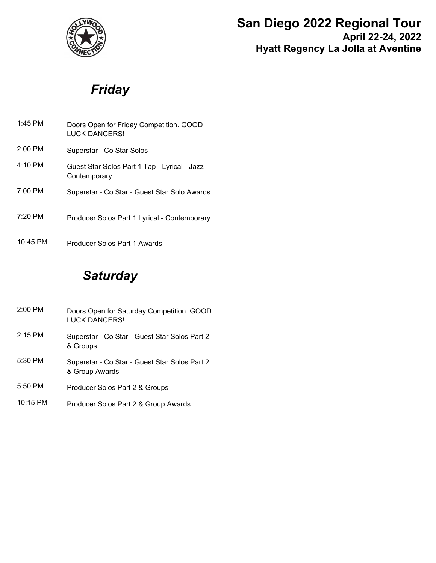

## **San Diego 2022 Regional Tour April 22-24, 2022**

**Hyatt Regency La Jolla at Aventine**

# *Friday*

| 1:45 PM           | Doors Open for Friday Competition. GOOD<br>LUCK DANCERS!       |
|-------------------|----------------------------------------------------------------|
| $2:00$ PM         | Superstar - Co Star Solos                                      |
| $4:10 \text{ PM}$ | Guest Star Solos Part 1 Tap - Lyrical - Jazz -<br>Contemporary |
| $7:00 \text{ PM}$ | Superstar - Co Star - Guest Star Solo Awards                   |
| $7:20$ PM         | Producer Solos Part 1 Lyrical - Contemporary                   |
| $10:45$ PM        | Producer Solos Part 1 Awards                                   |

## *Saturday*

- Doors Open for Saturday Competition. GOOD LUCK DANCERS! 2:00 PM Superstar - Co Star - Guest Star Solos Part 2 & Groups 2:15 PM Superstar - Co Star - Guest Star Solos Part 2 & Group Awards 5:30 PM 5:50 PM Producer Solos Part 2 & Groups
- 10:15 PM Producer Solos Part 2 & Group Awards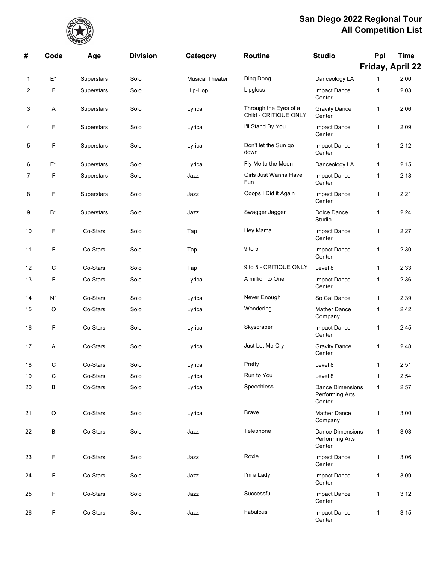

| #  | Code           | Age        | <b>Division</b> | Category               | <b>Routine</b>                                 | <b>Studio</b>                                        | Ppl          | <b>Time</b><br>Friday, April 22 |
|----|----------------|------------|-----------------|------------------------|------------------------------------------------|------------------------------------------------------|--------------|---------------------------------|
| 1  | E <sub>1</sub> | Superstars | Solo            | <b>Musical Theater</b> | Ding Dong                                      | Danceology LA                                        | $\mathbf 1$  | 2:00                            |
| 2  | F              | Superstars | Solo            | Hip-Hop                | Lipgloss                                       | Impact Dance<br>Center                               | 1            | 2:03                            |
| 3  | A              | Superstars | Solo            | Lyrical                | Through the Eyes of a<br>Child - CRITIQUE ONLY | <b>Gravity Dance</b><br>Center                       | 1            | 2:06                            |
| 4  | F              | Superstars | Solo            | Lyrical                | I'll Stand By You                              | Impact Dance<br>Center                               | 1            | 2:09                            |
| 5  | F              | Superstars | Solo            | Lyrical                | Don't let the Sun go<br>down                   | Impact Dance<br>Center                               | 1            | 2:12                            |
| 6  | E <sub>1</sub> | Superstars | Solo            | Lyrical                | Fly Me to the Moon                             | Danceology LA                                        | 1            | 2:15                            |
| 7  | F              | Superstars | Solo            | Jazz                   | Girls Just Wanna Have<br>Fun                   | Impact Dance<br>Center                               | 1            | 2:18                            |
| 8  | F              | Superstars | Solo            | Jazz                   | Ooops I Did it Again                           | Impact Dance<br>Center                               | 1            | 2:21                            |
| 9  | <b>B1</b>      | Superstars | Solo            | Jazz                   | Swagger Jagger                                 | Dolce Dance<br>Studio                                | 1            | 2:24                            |
| 10 | F              | Co-Stars   | Solo            | Tap                    | Hey Mama                                       | Impact Dance<br>Center                               | $\mathbf{1}$ | 2:27                            |
| 11 | F              | Co-Stars   | Solo            | Tap                    | 9 to 5                                         | Impact Dance<br>Center                               | 1            | 2:30                            |
| 12 | C              | Co-Stars   | Solo            | Tap                    | 9 to 5 - CRITIQUE ONLY                         | Level 8                                              | 1            | 2:33                            |
| 13 | F              | Co-Stars   | Solo            | Lyrical                | A million to One                               | Impact Dance<br>Center                               | 1            | 2:36                            |
| 14 | N <sub>1</sub> | Co-Stars   | Solo            | Lyrical                | Never Enough                                   | So Cal Dance                                         | $\mathbf{1}$ | 2:39                            |
| 15 | O              | Co-Stars   | Solo            | Lyrical                | Wondering                                      | <b>Mather Dance</b><br>Company                       | 1            | 2:42                            |
| 16 | F              | Co-Stars   | Solo            | Lyrical                | Skyscraper                                     | <b>Impact Dance</b><br>Center                        | 1            | 2:45                            |
| 17 | Α              | Co-Stars   | Solo            | Lyrical                | Just Let Me Cry                                | <b>Gravity Dance</b><br>Center                       | 1            | 2:48                            |
| 18 | C              | Co-Stars   | Solo            | Lyrical                | Pretty                                         | Level 8                                              | $\mathbf{1}$ | 2:51                            |
| 19 | C              | Co-Stars   | Solo            | Lyrical                | Run to You                                     | Level 8                                              | 1            | 2:54                            |
| 20 | В              | Co-Stars   | Solo            | Lyrical                | Speechless                                     | <b>Dance Dimensions</b><br>Performing Arts<br>Center | $\mathbf{1}$ | 2:57                            |
| 21 | O              | Co-Stars   | Solo            | Lyrical                | Brave                                          | <b>Mather Dance</b><br>Company                       | $\mathbf{1}$ | 3:00                            |
| 22 | B              | Co-Stars   | Solo            | Jazz                   | Telephone                                      | <b>Dance Dimensions</b><br>Performing Arts<br>Center | $\mathbf{1}$ | 3:03                            |
| 23 | F              | Co-Stars   | Solo            | Jazz                   | Roxie                                          | Impact Dance<br>Center                               | $\mathbf{1}$ | 3:06                            |
| 24 | F              | Co-Stars   | Solo            | Jazz                   | I'm a Lady                                     | Impact Dance<br>Center                               | $\mathbf{1}$ | 3:09                            |
| 25 | F              | Co-Stars   | Solo            | Jazz                   | Successful                                     | Impact Dance<br>Center                               | 1            | 3:12                            |
| 26 | F              | Co-Stars   | Solo            | Jazz                   | Fabulous                                       | Impact Dance<br>Center                               | $\mathbf{1}$ | 3:15                            |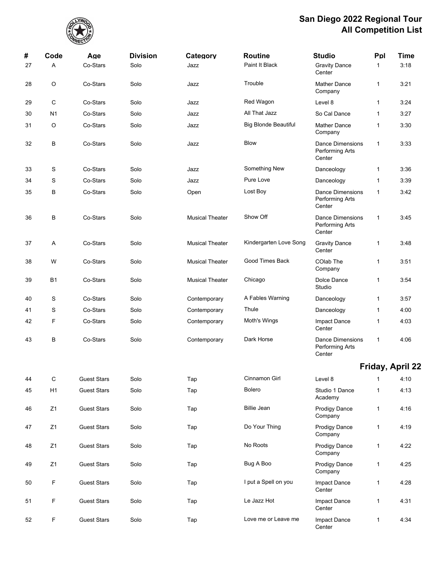

| #  | Code           | Age                | <b>Division</b> | Category               | <b>Routine</b>              | <b>Studio</b>                                        | Ppl          | <b>Time</b>      |
|----|----------------|--------------------|-----------------|------------------------|-----------------------------|------------------------------------------------------|--------------|------------------|
| 27 | Α              | Co-Stars           | Solo            | Jazz                   | Paint It Black              | <b>Gravity Dance</b><br>Center                       | 1            | 3:18             |
| 28 | O              | Co-Stars           | Solo            | Jazz                   | Trouble                     | <b>Mather Dance</b><br>Company                       | $\mathbf{1}$ | 3:21             |
| 29 | C              | Co-Stars           | Solo            | Jazz                   | Red Wagon                   | Level 8                                              | 1            | 3:24             |
| 30 | N <sub>1</sub> | Co-Stars           | Solo            | Jazz                   | All That Jazz               | So Cal Dance                                         | $\mathbf{1}$ | 3:27             |
| 31 | O              | Co-Stars           | Solo            | Jazz                   | <b>Big Blonde Beautiful</b> | <b>Mather Dance</b><br>Company                       | 1            | 3:30             |
| 32 | В              | Co-Stars           | Solo            | Jazz                   | <b>Blow</b>                 | <b>Dance Dimensions</b><br>Performing Arts<br>Center | $\mathbf{1}$ | 3:33             |
| 33 | S              | Co-Stars           | Solo            | Jazz                   | Something New               | Danceology                                           | 1            | 3:36             |
| 34 | S              | Co-Stars           | Solo            | Jazz                   | Pure Love                   | Danceology                                           | 1            | 3:39             |
| 35 | В              | Co-Stars           | Solo            | Open                   | Lost Boy                    | Dance Dimensions<br>Performing Arts<br>Center        | $\mathbf{1}$ | 3:42             |
| 36 | В              | Co-Stars           | Solo            | <b>Musical Theater</b> | Show Off                    | <b>Dance Dimensions</b><br>Performing Arts<br>Center | $\mathbf{1}$ | 3:45             |
| 37 | Α              | Co-Stars           | Solo            | <b>Musical Theater</b> | Kindergarten Love Song      | <b>Gravity Dance</b><br>Center                       | 1            | 3:48             |
| 38 | W              | Co-Stars           | Solo            | <b>Musical Theater</b> | Good Times Back             | COlab The<br>Company                                 | 1            | 3:51             |
| 39 | <b>B1</b>      | Co-Stars           | Solo            | <b>Musical Theater</b> | Chicago                     | Dolce Dance<br>Studio                                | 1            | 3:54             |
| 40 | S              | Co-Stars           | Solo            | Contemporary           | A Fables Warning            | Danceology                                           | $\mathbf{1}$ | 3:57             |
| 41 | S              | Co-Stars           | Solo            | Contemporary           | Thule                       | Danceology                                           | 1            | 4:00             |
| 42 | F              | Co-Stars           | Solo            | Contemporary           | Moth's Wings                | Impact Dance<br>Center                               | 1            | 4.03             |
| 43 | В              | Co-Stars           | Solo            | Contemporary           | Dark Horse                  | <b>Dance Dimensions</b><br>Performing Arts<br>Center | $\mathbf{1}$ | 4:06             |
|    |                |                    |                 |                        |                             |                                                      |              | Friday, April 22 |
| 44 | $\mathbf C$    | <b>Guest Stars</b> | Solo            | Tap                    | Cinnamon Girl               | Level 8                                              | 1            | 4:10             |
| 45 | H1             | <b>Guest Stars</b> | Solo            | Tap                    | Bolero                      | Studio 1 Dance<br>Academy                            | $\mathbf{1}$ | 4:13             |
| 46 | Z1             | <b>Guest Stars</b> | Solo            | Tap                    | <b>Billie Jean</b>          | <b>Prodigy Dance</b><br>Company                      | $\mathbf{1}$ | 4:16             |
| 47 | Z1             | <b>Guest Stars</b> | Solo            | Tap                    | Do Your Thing               | <b>Prodigy Dance</b><br>Company                      | $\mathbf{1}$ | 4:19             |
| 48 | Z1             | <b>Guest Stars</b> | Solo            | Tap                    | No Roots                    | <b>Prodigy Dance</b><br>Company                      | $\mathbf{1}$ | 4:22             |
| 49 | Z1             | <b>Guest Stars</b> | Solo            | Tap                    | Bug A Boo                   | <b>Prodigy Dance</b><br>Company                      | $\mathbf{1}$ | 4:25             |
| 50 | F              | <b>Guest Stars</b> | Solo            | Tap                    | I put a Spell on you        | Impact Dance<br>Center                               | $\mathbf{1}$ | 4:28             |
| 51 | F              | <b>Guest Stars</b> | Solo            | Tap                    | Le Jazz Hot                 | Impact Dance<br>Center                               | $\mathbf{1}$ | 4:31             |
| 52 | F              | <b>Guest Stars</b> | Solo            | Tap                    | Love me or Leave me         | Impact Dance<br>Center                               | 1            | 4:34             |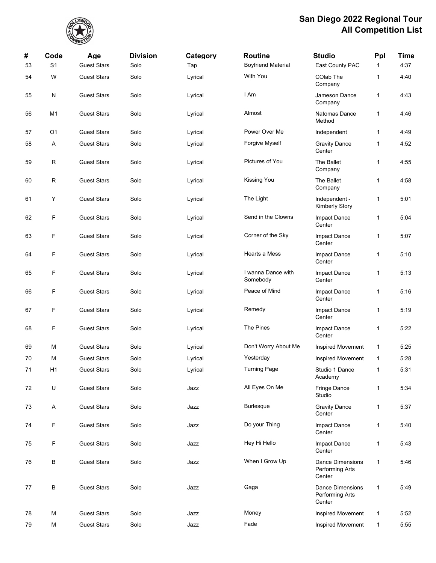

| #  | Code           | Age                | <b>Division</b> | Category | <b>Routine</b>                 | <b>Studio</b>                                        | Ppl          | <b>Time</b> |
|----|----------------|--------------------|-----------------|----------|--------------------------------|------------------------------------------------------|--------------|-------------|
| 53 | S <sub>1</sub> | <b>Guest Stars</b> | Solo            | Tap      | <b>Boyfriend Material</b>      | East County PAC                                      | $\mathbf{1}$ | 4:37        |
| 54 | W              | <b>Guest Stars</b> | Solo            | Lyrical  | With You                       | COlab The<br>Company                                 | 1            | 4:40        |
| 55 | ${\sf N}$      | <b>Guest Stars</b> | Solo            | Lyrical  | I Am                           | Jameson Dance<br>Company                             | $\mathbf{1}$ | 4:43        |
| 56 | M1             | <b>Guest Stars</b> | Solo            | Lyrical  | Almost                         | Natomas Dance<br>Method                              | 1            | 4:46        |
| 57 | O <sub>1</sub> | <b>Guest Stars</b> | Solo            | Lyrical  | Power Over Me                  | Independent                                          | 1            | 4:49        |
| 58 | Α              | <b>Guest Stars</b> | Solo            | Lyrical  | Forgive Myself                 | <b>Gravity Dance</b><br>Center                       | 1            | 4:52        |
| 59 | $\mathsf R$    | <b>Guest Stars</b> | Solo            | Lyrical  | Pictures of You                | The Ballet<br>Company                                | 1            | 4:55        |
| 60 | $\mathsf R$    | <b>Guest Stars</b> | Solo            | Lyrical  | Kissing You                    | The Ballet<br>Company                                | 1            | 4:58        |
| 61 | Υ              | <b>Guest Stars</b> | Solo            | Lyrical  | The Light                      | Independent -<br><b>Kimberly Story</b>               | 1            | 5:01        |
| 62 | F              | <b>Guest Stars</b> | Solo            | Lyrical  | Send in the Clowns             | Impact Dance<br>Center                               | 1            | 5:04        |
| 63 | F              | <b>Guest Stars</b> | Solo            | Lyrical  | Corner of the Sky              | <b>Impact Dance</b><br>Center                        | 1            | 5:07        |
| 64 | F              | <b>Guest Stars</b> | Solo            | Lyrical  | Hearts a Mess                  | Impact Dance<br>Center                               | $\mathbf{1}$ | 5:10        |
| 65 | F              | <b>Guest Stars</b> | Solo            | Lyrical  | I wanna Dance with<br>Somebody | Impact Dance<br>Center                               | 1            | 5:13        |
| 66 | F              | <b>Guest Stars</b> | Solo            | Lyrical  | Peace of Mind                  | Impact Dance<br>Center                               | 1            | 5:16        |
| 67 | F              | <b>Guest Stars</b> | Solo            | Lyrical  | Remedy                         | Impact Dance<br>Center                               | 1            | 5:19        |
| 68 | F              | <b>Guest Stars</b> | Solo            | Lyrical  | The Pines                      | Impact Dance<br>Center                               | 1            | 5:22        |
| 69 | M              | <b>Guest Stars</b> | Solo            | Lyrical  | Don't Worry About Me           | Inspired Movement                                    | 1            | 5:25        |
| 70 | M              | <b>Guest Stars</b> | Solo            | Lyrical  | Yesterday                      | Inspired Movement                                    | 1            | 5:28        |
| 71 | H <sub>1</sub> | <b>Guest Stars</b> | Solo            | Lyrical  | <b>Turning Page</b>            | Studio 1 Dance<br>Academy                            | 1            | 5:31        |
| 72 | U              | <b>Guest Stars</b> | Solo            | Jazz     | All Eyes On Me                 | Fringe Dance<br>Studio                               | $\mathbf{1}$ | 5:34        |
| 73 | A              | <b>Guest Stars</b> | Solo            | Jazz     | <b>Burlesque</b>               | <b>Gravity Dance</b><br>Center                       | $\mathbf{1}$ | 5:37        |
| 74 | F              | <b>Guest Stars</b> | Solo            | Jazz     | Do your Thing                  | Impact Dance<br>Center                               | $\mathbf{1}$ | 5:40        |
| 75 | F              | <b>Guest Stars</b> | Solo            | Jazz     | Hey Hi Hello                   | Impact Dance<br>Center                               | 1            | 5:43        |
| 76 | B              | <b>Guest Stars</b> | Solo            | Jazz     | When I Grow Up                 | <b>Dance Dimensions</b><br>Performing Arts<br>Center | $\mathbf{1}$ | 5:46        |
| 77 | B              | <b>Guest Stars</b> | Solo            | Jazz     | Gaga                           | <b>Dance Dimensions</b><br>Performing Arts<br>Center | $\mathbf{1}$ | 5:49        |
| 78 | M              | <b>Guest Stars</b> | Solo            | Jazz     | Money                          | Inspired Movement                                    | 1            | 5:52        |
| 79 | M              | <b>Guest Stars</b> | Solo            | Jazz     | Fade                           | Inspired Movement                                    | 1            | 5:55        |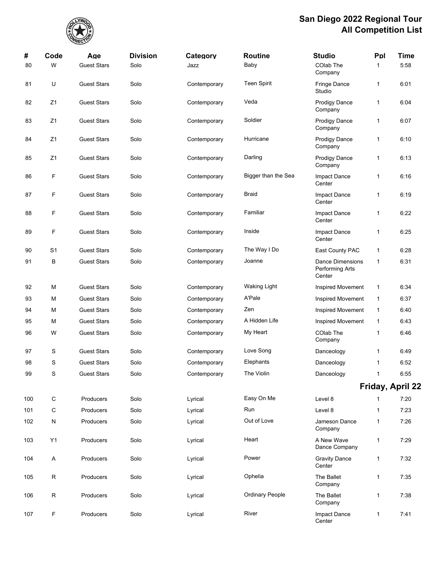

| #   | Code           | Age                | <b>Division</b> | Category     | <b>Routine</b>         | <b>Studio</b>                                        | Ppl          | <b>Time</b>      |
|-----|----------------|--------------------|-----------------|--------------|------------------------|------------------------------------------------------|--------------|------------------|
| 80  | W              | <b>Guest Stars</b> | Solo            | Jazz         | Baby                   | COlab The<br>Company                                 | 1            | 5:58             |
| 81  | U              | <b>Guest Stars</b> | Solo            | Contemporary | <b>Teen Spirit</b>     | Fringe Dance<br>Studio                               | 1            | 6:01             |
| 82  | Z <sub>1</sub> | <b>Guest Stars</b> | Solo            | Contemporary | Veda                   | <b>Prodigy Dance</b><br>Company                      | 1            | 6:04             |
| 83  | Z1             | <b>Guest Stars</b> | Solo            | Contemporary | Soldier                | Prodigy Dance<br>Company                             | 1            | 6:07             |
| 84  | Z1             | <b>Guest Stars</b> | Solo            | Contemporary | Hurricane              | Prodigy Dance<br>Company                             | 1            | 6:10             |
| 85  | Z1             | <b>Guest Stars</b> | Solo            | Contemporary | Darling                | Prodigy Dance<br>Company                             | 1            | 6:13             |
| 86  | F              | <b>Guest Stars</b> | Solo            | Contemporary | Bigger than the Sea    | Impact Dance<br>Center                               | 1            | 6:16             |
| 87  | F              | <b>Guest Stars</b> | Solo            | Contemporary | <b>Braid</b>           | Impact Dance<br>Center                               | 1            | 6:19             |
| 88  | F              | <b>Guest Stars</b> | Solo            | Contemporary | Familiar               | <b>Impact Dance</b><br>Center                        | 1            | 6.22             |
| 89  | F              | <b>Guest Stars</b> | Solo            | Contemporary | Inside                 | Impact Dance<br>Center                               | 1            | 6:25             |
| 90  | S <sub>1</sub> | <b>Guest Stars</b> | Solo            | Contemporary | The Way I Do           | East County PAC                                      | 1            | 6:28             |
| 91  | В              | <b>Guest Stars</b> | Solo            | Contemporary | Joanne                 | <b>Dance Dimensions</b><br>Performing Arts<br>Center | $\mathbf{1}$ | 6:31             |
| 92  | М              | <b>Guest Stars</b> | Solo            | Contemporary | <b>Waking Light</b>    | Inspired Movement                                    | 1            | 6:34             |
| 93  | М              | <b>Guest Stars</b> | Solo            | Contemporary | A'Pale                 | <b>Inspired Movement</b>                             | 1            | 6:37             |
| 94  | М              | <b>Guest Stars</b> | Solo            | Contemporary | Zen                    | Inspired Movement                                    | 1            | 6:40             |
| 95  | М              | <b>Guest Stars</b> | Solo            | Contemporary | A Hidden Life          | Inspired Movement                                    | 1            | 6:43             |
| 96  | W              | <b>Guest Stars</b> | Solo            | Contemporary | My Heart               | COlab The<br>Company                                 | 1            | 6:46             |
| 97  | S              | <b>Guest Stars</b> | Solo            | Contemporary | Love Song              | Danceology                                           | 1            | 6:49             |
| 98  | S              | <b>Guest Stars</b> | Solo            | Contemporary | Elephants              | Danceology                                           | 1            | 6:52             |
| 99  | S              | <b>Guest Stars</b> | Solo            | Contemporary | The Violin             | Danceology                                           | 1            | 6:55             |
|     |                |                    |                 |              |                        |                                                      |              | Friday, April 22 |
| 100 | $\mathsf C$    | Producers          | Solo            | Lyrical      | Easy On Me             | Level 8                                              | 1            | 7:20             |
| 101 | С              | Producers          | Solo            | Lyrical      | Run                    | Level 8                                              | 1            | 7:23             |
| 102 | N              | Producers          | Solo            | Lyrical      | Out of Love            | Jameson Dance<br>Company                             | 1            | 7:26             |
| 103 | Y1             | Producers          | Solo            | Lyrical      | Heart                  | A New Wave<br>Dance Company                          | 1            | 7:29             |
| 104 | A              | Producers          | Solo            | Lyrical      | Power                  | <b>Gravity Dance</b><br>Center                       | $\mathbf{1}$ | 7:32             |
| 105 | R              | Producers          | Solo            | Lyrical      | Ophelia                | The Ballet<br>Company                                | 1            | 7:35             |
| 106 | ${\sf R}$      | Producers          | Solo            | Lyrical      | <b>Ordinary People</b> | The Ballet<br>Company                                | 1            | 7:38             |
| 107 | F              | Producers          | Solo            | Lyrical      | River                  | Impact Dance<br>Center                               | 1            | 7:41             |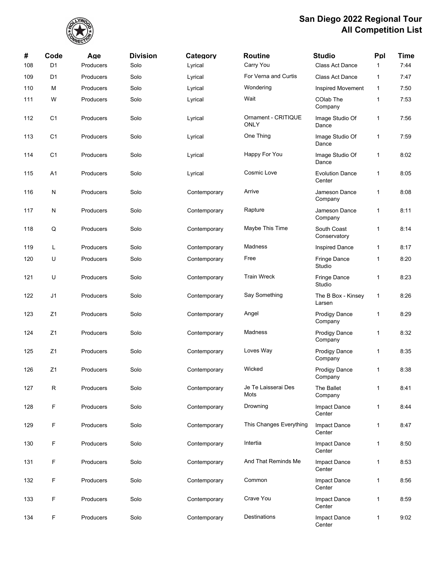

| #   | Code           | Age       | <b>Division</b> | Category     | <b>Routine</b>                     | <b>Studio</b>                    | Ppl          | <b>Time</b> |
|-----|----------------|-----------|-----------------|--------------|------------------------------------|----------------------------------|--------------|-------------|
| 108 | D <sub>1</sub> | Producers | Solo            | Lyrical      | Carry You                          | Class Act Dance                  | $\mathbf 1$  | 7:44        |
| 109 | D <sub>1</sub> | Producers | Solo            | Lyrical      | For Verna and Curtis               | <b>Class Act Dance</b>           | 1            | 7:47        |
| 110 | м              | Producers | Solo            | Lyrical      | Wondering                          | <b>Inspired Movement</b>         | $\mathbf{1}$ | 7:50        |
| 111 | W              | Producers | Solo            | Lyrical      | Wait                               | COlab The<br>Company             | 1            | 7:53        |
| 112 | C <sub>1</sub> | Producers | Solo            | Lyrical      | Ornament - CRITIQUE<br><b>ONLY</b> | Image Studio Of<br>Dance         | 1            | 7:56        |
| 113 | C <sub>1</sub> | Producers | Solo            | Lyrical      | One Thing                          | Image Studio Of<br>Dance         | $\mathbf{1}$ | 7:59        |
| 114 | C <sub>1</sub> | Producers | Solo            | Lyrical      | Happy For You                      | Image Studio Of<br>Dance         | 1            | 8:02        |
| 115 | A1             | Producers | Solo            | Lyrical      | Cosmic Love                        | <b>Evolution Dance</b><br>Center | 1            | 8:05        |
| 116 | N              | Producers | Solo            | Contemporary | Arrive                             | Jameson Dance<br>Company         | 1            | 8:08        |
| 117 | N              | Producers | Solo            | Contemporary | Rapture                            | Jameson Dance<br>Company         | 1            | 8:11        |
| 118 | Q              | Producers | Solo            | Contemporary | Maybe This Time                    | South Coast<br>Conservatory      | 1            | 8:14        |
| 119 | L              | Producers | Solo            | Contemporary | Madness                            | <b>Inspired Dance</b>            | 1            | 8:17        |
| 120 | U              | Producers | Solo            | Contemporary | Free                               | Fringe Dance<br>Studio           | 1            | 8:20        |
| 121 | U              | Producers | Solo            | Contemporary | <b>Train Wreck</b>                 | Fringe Dance<br>Studio           | 1            | 8:23        |
| 122 | J1             | Producers | Solo            | Contemporary | Say Something                      | The B Box - Kinsey<br>Larsen     | 1            | 8:26        |
| 123 | Z1             | Producers | Solo            | Contemporary | Angel                              | <b>Prodigy Dance</b><br>Company  | 1            | 8:29        |
| 124 | Z <sub>1</sub> | Producers | Solo            | Contemporary | Madness                            | Prodigy Dance<br>Company         | 1            | 8:32        |
| 125 | Z1             | Producers | Solo            | Contemporary | Loves Way                          | Prodigy Dance<br>Company         | $\mathbf{1}$ | 8:35        |
| 126 | Z <sub>1</sub> | Producers | Solo            | Contemporary | Wicked                             | Prodigy Dance<br>Company         | $\mathbf{1}$ | 8:38        |
| 127 | R              | Producers | Solo            | Contemporary | Je Te Laisserai Des<br>Mots        | The Ballet<br>Company            | $\mathbf{1}$ | 8:41        |
| 128 | F              | Producers | Solo            | Contemporary | Drowning                           | Impact Dance<br>Center           | 1            | 8:44        |
| 129 | F              | Producers | Solo            | Contemporary | This Changes Everything            | Impact Dance<br>Center           | 1            | 8:47        |
| 130 | F              | Producers | Solo            | Contemporary | Intertia                           | Impact Dance<br>Center           | $\mathbf{1}$ | 8:50        |
| 131 | F              | Producers | Solo            | Contemporary | And That Reminds Me                | Impact Dance<br>Center           | 1            | 8:53        |
| 132 | F              | Producers | Solo            | Contemporary | Common                             | Impact Dance<br>Center           | 1            | 8:56        |
| 133 | F              | Producers | Solo            | Contemporary | Crave You                          | Impact Dance<br>Center           | 1            | 8:59        |
| 134 | F              | Producers | Solo            | Contemporary | Destinations                       | Impact Dance<br>Center           | 1            | 9:02        |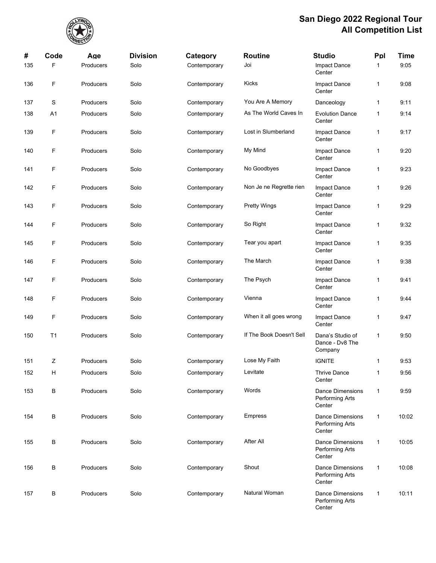

| #   | Code           | Age              | <b>Division</b> | Category     | <b>Routine</b>           | <b>Studio</b>                                        | Ppl          | <b>Time</b> |
|-----|----------------|------------------|-----------------|--------------|--------------------------|------------------------------------------------------|--------------|-------------|
| 135 | F              | Producers        | Solo            | Contemporary | Joi                      | Impact Dance<br>Center                               | 1            | 9:05        |
| 136 | F              | Producers        | Solo            | Contemporary | Kicks                    | Impact Dance<br>Center                               | 1            | 9:08        |
| 137 | S              | <b>Producers</b> | Solo            | Contemporary | You Are A Memory         | Danceology                                           | 1            | 9:11        |
| 138 | A <sub>1</sub> | Producers        | Solo            | Contemporary | As The World Caves In    | <b>Evolution Dance</b><br>Center                     | 1            | 9:14        |
| 139 | F              | Producers        | Solo            | Contemporary | Lost in Slumberland      | Impact Dance<br>Center                               | 1            | 9:17        |
| 140 | F              | <b>Producers</b> | Solo            | Contemporary | My Mind                  | Impact Dance<br>Center                               | 1            | 9:20        |
| 141 | F              | Producers        | Solo            | Contemporary | No Goodbyes              | Impact Dance<br>Center                               | 1            | 9:23        |
| 142 | F              | Producers        | Solo            | Contemporary | Non Je ne Regrette rien  | Impact Dance<br>Center                               | 1            | 9:26        |
| 143 | F              | Producers        | Solo            | Contemporary | <b>Pretty Wings</b>      | Impact Dance<br>Center                               | 1            | 9:29        |
| 144 | F              | Producers        | Solo            | Contemporary | So Right                 | Impact Dance<br>Center                               | 1            | 9:32        |
| 145 | F              | Producers        | Solo            | Contemporary | Tear you apart           | Impact Dance<br>Center                               | 1            | 9:35        |
| 146 | F              | Producers        | Solo            | Contemporary | The March                | Impact Dance<br>Center                               | 1            | 9:38        |
| 147 | F              | Producers        | Solo            | Contemporary | The Psych                | Impact Dance<br>Center                               | 1            | 9:41        |
| 148 | F              | Producers        | Solo            | Contemporary | Vienna                   | Impact Dance<br>Center                               | 1            | 9:44        |
| 149 | F              | Producers        | Solo            | Contemporary | When it all goes wrong   | Impact Dance<br>Center                               | 1            | 9:47        |
| 150 | T1             | <b>Producers</b> | Solo            | Contemporary | If The Book Doesn't Sell | Dana's Studio of<br>Dance - Dv8 The<br>Company       | 1            | 9:50        |
| 151 | Ζ              | Producers        | Solo            | Contemporary | Lose My Faith            | <b>IGNITE</b>                                        | 1            | 9:53        |
| 152 | Н              | Producers        | Solo            | Contemporary | Levitate                 | <b>Thrive Dance</b><br>Center                        | 1            | 9:56        |
| 153 | В              | Producers        | Solo            | Contemporary | Words                    | <b>Dance Dimensions</b><br>Performing Arts<br>Center | $\mathbf{1}$ | 9:59        |
| 154 | B              | Producers        | Solo            | Contemporary | <b>Empress</b>           | <b>Dance Dimensions</b><br>Performing Arts<br>Center | $\mathbf{1}$ | 10:02       |
| 155 | B              | Producers        | Solo            | Contemporary | After All                | <b>Dance Dimensions</b><br>Performing Arts<br>Center | $\mathbf{1}$ | 10:05       |
| 156 | B              | Producers        | Solo            | Contemporary | Shout                    | <b>Dance Dimensions</b><br>Performing Arts<br>Center | $\mathbf{1}$ | 10:08       |
| 157 | В              | Producers        | Solo            | Contemporary | Natural Woman            | <b>Dance Dimensions</b><br>Performing Arts<br>Center | $\mathbf{1}$ | 10:11       |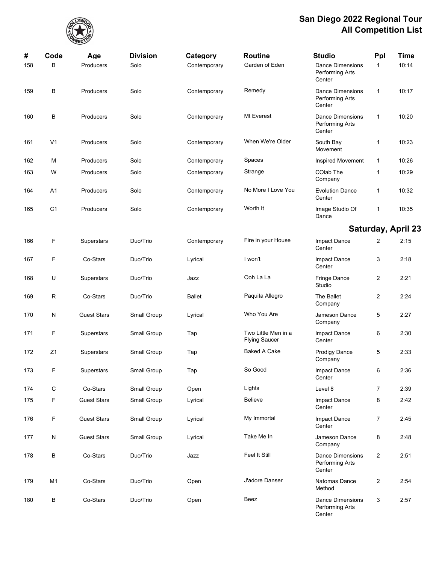

| #   | Code           | Age                | <b>Division</b> | Category      | <b>Routine</b>                              | <b>Studio</b>                                        | Ppl            | <b>Time</b>        |
|-----|----------------|--------------------|-----------------|---------------|---------------------------------------------|------------------------------------------------------|----------------|--------------------|
| 158 | B              | Producers          | Solo            | Contemporary  | Garden of Eden                              | <b>Dance Dimensions</b><br>Performing Arts<br>Center | $\mathbf{1}$   | 10:14              |
| 159 | В              | Producers          | Solo            | Contemporary  | Remedy                                      | <b>Dance Dimensions</b><br>Performing Arts<br>Center | $\mathbf{1}$   | 10:17              |
| 160 | В              | Producers          | Solo            | Contemporary  | Mt Everest                                  | <b>Dance Dimensions</b><br>Performing Arts<br>Center | $\mathbf{1}$   | 10:20              |
| 161 | V <sub>1</sub> | Producers          | Solo            | Contemporary  | When We're Older                            | South Bay<br>Movement                                | 1              | 10:23              |
| 162 | М              | Producers          | Solo            | Contemporary  | Spaces                                      | <b>Inspired Movement</b>                             | $\mathbf{1}$   | 10:26              |
| 163 | W              | Producers          | Solo            | Contemporary  | Strange                                     | COlab The<br>Company                                 | 1              | 10:29              |
| 164 | A1             | Producers          | Solo            | Contemporary  | No More I Love You                          | <b>Evolution Dance</b><br>Center                     | 1              | 10:32              |
| 165 | C <sub>1</sub> | Producers          | Solo            | Contemporary  | Worth It                                    | Image Studio Of<br>Dance                             | 1              | 10:35              |
|     |                |                    |                 |               |                                             |                                                      |                | Saturday, April 23 |
| 166 | F              | Superstars         | Duo/Trio        | Contemporary  | Fire in your House                          | Impact Dance<br>Center                               | 2              | 2:15               |
| 167 | F              | Co-Stars           | Duo/Trio        | Lyrical       | I won't                                     | Impact Dance<br>Center                               | 3              | 2:18               |
| 168 | U              | Superstars         | Duo/Trio        | Jazz          | Ooh La La                                   | Fringe Dance<br>Studio                               | $\overline{2}$ | 2:21               |
| 169 | R              | Co-Stars           | Duo/Trio        | <b>Ballet</b> | Paquita Allegro                             | The Ballet<br>Company                                | $\overline{2}$ | 2:24               |
| 170 | N              | <b>Guest Stars</b> | Small Group     | Lyrical       | Who You Are                                 | Jameson Dance<br>Company                             | 5              | 2:27               |
| 171 | F              | <b>Superstars</b>  | Small Group     | Tap           | Two Little Men in a<br><b>Flying Saucer</b> | Impact Dance<br>Center                               | 6              | 2:30               |
| 172 | Z1             | <b>Superstars</b>  | Small Group     | Tap           | <b>Baked A Cake</b>                         | Prodigy Dance<br>Company                             | 5              | 2:33               |
| 173 | F              | Superstars         | Small Group     | Tap           | So Good                                     | Impact Dance<br>Center                               | 6              | 2:36               |
| 174 | $\mathsf C$    | Co-Stars           | Small Group     | Open          | Lights                                      | Level 8                                              | $\overline{7}$ | 2:39               |
| 175 | F              | <b>Guest Stars</b> | Small Group     | Lyrical       | <b>Believe</b>                              | Impact Dance<br>Center                               | 8              | 2:42               |
| 176 | F              | <b>Guest Stars</b> | Small Group     | Lyrical       | My Immortal                                 | Impact Dance<br>Center                               | $\overline{7}$ | 2:45               |
| 177 | N              | <b>Guest Stars</b> | Small Group     | Lyrical       | Take Me In                                  | Jameson Dance<br>Company                             | 8              | 2:48               |
| 178 | В              | Co-Stars           | Duo/Trio        | Jazz          | Feel It Still                               | <b>Dance Dimensions</b><br>Performing Arts<br>Center | $\overline{2}$ | 2:51               |
| 179 | M <sub>1</sub> | Co-Stars           | Duo/Trio        | Open          | J'adore Danser                              | Natomas Dance<br>Method                              | $\overline{2}$ | 2:54               |
| 180 | В              | Co-Stars           | Duo/Trio        | Open          | Beez                                        | Dance Dimensions<br>Performing Arts<br>Center        | 3              | 2:57               |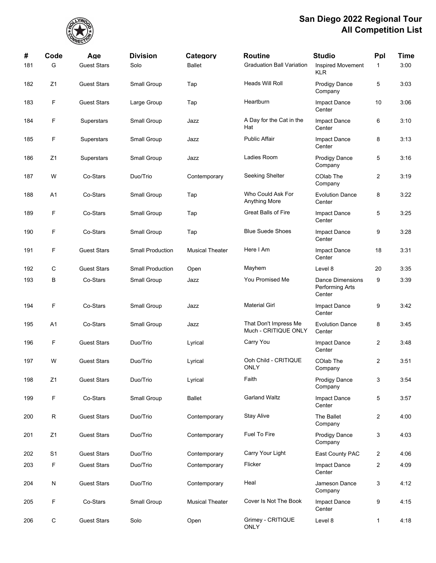

| #   | Code           | Age                | <b>Division</b>         | Category               | Routine                                       | <b>Studio</b>                                        | Ppl            | <b>Time</b> |
|-----|----------------|--------------------|-------------------------|------------------------|-----------------------------------------------|------------------------------------------------------|----------------|-------------|
| 181 | G              | <b>Guest Stars</b> | Solo                    | <b>Ballet</b>          | <b>Graduation Ball Variation</b>              | <b>Inspired Movement</b><br><b>KLR</b>               | $\mathbf{1}$   | 3:00        |
| 182 | Z1             | <b>Guest Stars</b> | Small Group             | Tap                    | Heads Will Roll                               | Prodigy Dance<br>Company                             | 5              | 3:03        |
| 183 | F              | <b>Guest Stars</b> | Large Group             | Tap                    | Heartburn                                     | Impact Dance<br>Center                               | 10             | 3:06        |
| 184 | F              | Superstars         | Small Group             | Jazz                   | A Day for the Cat in the<br>Hat               | Impact Dance<br>Center                               | 6              | 3:10        |
| 185 | F              | Superstars         | Small Group             | Jazz                   | <b>Public Affair</b>                          | Impact Dance<br>Center                               | 8              | 3:13        |
| 186 | Z1             | Superstars         | Small Group             | Jazz                   | Ladies Room                                   | <b>Prodigy Dance</b><br>Company                      | 5              | 3:16        |
| 187 | W              | Co-Stars           | Duo/Trio                | Contemporary           | Seeking Shelter                               | COlab The<br>Company                                 | $\overline{c}$ | 3:19        |
| 188 | A1             | Co-Stars           | Small Group             | Tap                    | Who Could Ask For<br>Anything More            | <b>Evolution Dance</b><br>Center                     | 8              | 3:22        |
| 189 | F              | Co-Stars           | Small Group             | Tap                    | <b>Great Balls of Fire</b>                    | Impact Dance<br>Center                               | 5              | 3:25        |
| 190 | F              | Co-Stars           | Small Group             | Tap                    | <b>Blue Suede Shoes</b>                       | Impact Dance<br>Center                               | 9              | 3:28        |
| 191 | F              | <b>Guest Stars</b> | <b>Small Production</b> | <b>Musical Theater</b> | Here I Am                                     | Impact Dance<br>Center                               | 18             | 3:31        |
| 192 | C              | <b>Guest Stars</b> | <b>Small Production</b> | Open                   | Mayhem                                        | Level 8                                              | 20             | 3:35        |
| 193 | В              | Co-Stars           | Small Group             | Jazz                   | You Promised Me                               | <b>Dance Dimensions</b><br>Performing Arts<br>Center | 9              | 3:39        |
| 194 | F              | Co-Stars           | Small Group             | Jazz                   | <b>Material Girl</b>                          | Impact Dance<br>Center                               | 9              | 3:42        |
| 195 | A1             | Co-Stars           | Small Group             | Jazz                   | That Don't Impress Me<br>Much - CRITIQUE ONLY | <b>Evolution Dance</b><br>Center                     | 8              | 3:45        |
| 196 | F              | <b>Guest Stars</b> | Duo/Trio                | Lyrical                | Carry You                                     | Impact Dance<br>Center                               | $\overline{c}$ | 3:48        |
| 197 | W              | <b>Guest Stars</b> | Duo/Trio                | Lyrical                | Ooh Child - CRITIQUE<br><b>ONLY</b>           | COlab The<br>Company                                 | 2              | 3:51        |
| 198 | Z1             | <b>Guest Stars</b> | Duo/Trio                | Lyrical                | Faith                                         | <b>Prodigy Dance</b><br>Company                      | 3              | 3:54        |
| 199 | F              | Co-Stars           | Small Group             | <b>Ballet</b>          | <b>Garland Waltz</b>                          | Impact Dance<br>Center                               | 5              | 3:57        |
| 200 | R              | <b>Guest Stars</b> | Duo/Trio                | Contemporary           | <b>Stay Alive</b>                             | The Ballet<br>Company                                | $\overline{2}$ | 4:00        |
| 201 | Z1             | <b>Guest Stars</b> | Duo/Trio                | Contemporary           | Fuel To Fire                                  | <b>Prodigy Dance</b><br>Company                      | 3              | 4:03        |
| 202 | S <sub>1</sub> | <b>Guest Stars</b> | Duo/Trio                | Contemporary           | Carry Your Light                              | East County PAC                                      | $\overline{2}$ | 4:06        |
| 203 | F              | <b>Guest Stars</b> | Duo/Trio                | Contemporary           | Flicker                                       | Impact Dance<br>Center                               | $\overline{c}$ | 4:09        |
| 204 | N              | <b>Guest Stars</b> | Duo/Trio                | Contemporary           | Heal                                          | Jameson Dance<br>Company                             | 3              | 4:12        |
| 205 | F              | Co-Stars           | Small Group             | <b>Musical Theater</b> | Cover Is Not The Book                         | Impact Dance<br>Center                               | 9              | 4:15        |
| 206 | С              | <b>Guest Stars</b> | Solo                    | Open                   | Grimey - CRITIQUE<br>ONLY                     | Level 8                                              | 1              | 4:18        |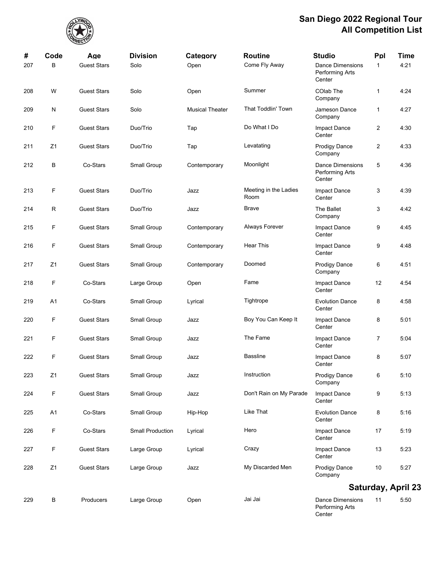

Center

| #   | Code           | Age                | <b>Division</b>         | Category               | <b>Routine</b>                | <b>Studio</b>                                        | Ppl            | <b>Time</b>        |
|-----|----------------|--------------------|-------------------------|------------------------|-------------------------------|------------------------------------------------------|----------------|--------------------|
| 207 | B              | <b>Guest Stars</b> | Solo                    | Open                   | Come Fly Away                 | <b>Dance Dimensions</b><br>Performing Arts<br>Center | $\mathbf{1}$   | 4:21               |
| 208 | W              | <b>Guest Stars</b> | Solo                    | Open                   | Summer                        | COlab The<br>Company                                 | 1              | 4:24               |
| 209 | N              | <b>Guest Stars</b> | Solo                    | <b>Musical Theater</b> | That Toddlin' Town            | Jameson Dance<br>Company                             | 1              | 4:27               |
| 210 | F              | <b>Guest Stars</b> | Duo/Trio                | Tap                    | Do What I Do                  | Impact Dance<br>Center                               | $\overline{2}$ | 4:30               |
| 211 | Z <sub>1</sub> | <b>Guest Stars</b> | Duo/Trio                | Tap                    | Levatating                    | <b>Prodigy Dance</b><br>Company                      | $\overline{2}$ | 4:33               |
| 212 | В              | Co-Stars           | Small Group             | Contemporary           | Moonlight                     | <b>Dance Dimensions</b><br>Performing Arts<br>Center | 5              | 4:36               |
| 213 | F              | <b>Guest Stars</b> | Duo/Trio                | Jazz                   | Meeting in the Ladies<br>Room | Impact Dance<br>Center                               | 3              | 4:39               |
| 214 | $\mathsf R$    | <b>Guest Stars</b> | Duo/Trio                | Jazz                   | Brave                         | The Ballet<br>Company                                | 3              | 4:42               |
| 215 | F              | <b>Guest Stars</b> | Small Group             | Contemporary           | Always Forever                | Impact Dance<br>Center                               | 9              | 4:45               |
| 216 | F              | <b>Guest Stars</b> | Small Group             | Contemporary           | <b>Hear This</b>              | Impact Dance<br>Center                               | 9              | 4:48               |
| 217 | Z <sub>1</sub> | <b>Guest Stars</b> | Small Group             | Contemporary           | Doomed                        | <b>Prodigy Dance</b><br>Company                      | 6              | 4:51               |
| 218 | F              | Co-Stars           | Large Group             | Open                   | Fame                          | Impact Dance<br>Center                               | 12             | 4:54               |
| 219 | A1             | Co-Stars           | Small Group             | Lyrical                | Tightrope                     | <b>Evolution Dance</b><br>Center                     | 8              | 4:58               |
| 220 | F              | <b>Guest Stars</b> | Small Group             | Jazz                   | Boy You Can Keep It           | Impact Dance<br>Center                               | 8              | 5:01               |
| 221 | F              | <b>Guest Stars</b> | Small Group             | Jazz                   | The Fame                      | Impact Dance<br>Center                               | 7              | 5:04               |
| 222 | F              | <b>Guest Stars</b> | Small Group             | Jazz                   | <b>Bassline</b>               | Impact Dance<br>Center                               | 8              | 5:07               |
| 223 | Z1             | <b>Guest Stars</b> | Small Group             | Jazz                   | Instruction                   | <b>Prodigy Dance</b><br>Company                      | 6              | 5:10               |
| 224 | F              | <b>Guest Stars</b> | Small Group             | Jazz                   | Don't Rain on My Parade       | Impact Dance<br>Center                               | 9              | 5:13               |
| 225 | A1             | Co-Stars           | Small Group             | Hip-Hop                | Like That                     | <b>Evolution Dance</b><br>Center                     | 8              | 5:16               |
| 226 | F              | Co-Stars           | <b>Small Production</b> | Lyrical                | Hero                          | Impact Dance<br>Center                               | 17             | 5:19               |
| 227 | F              | <b>Guest Stars</b> | Large Group             | Lyrical                | Crazy                         | Impact Dance<br>Center                               | 13             | 5:23               |
| 228 | Z <sub>1</sub> | <b>Guest Stars</b> | Large Group             | Jazz                   | My Discarded Men              | <b>Prodigy Dance</b><br>Company                      | 10             | 5:27               |
|     |                |                    |                         |                        |                               |                                                      |                | Saturday, April 23 |
| 229 | В              | Producers          | Large Group             | Open                   | Jai Jai                       | <b>Dance Dimensions</b><br>Performing Arts           | 11             | 5:50               |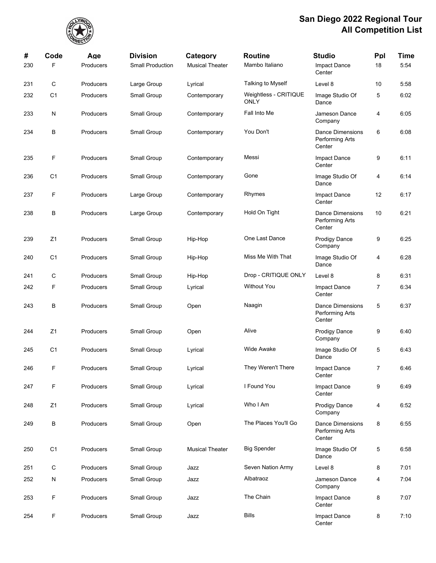

| #   | Code           | Age       | <b>Division</b>         | Category               | <b>Routine</b>                       | <b>Studio</b>                                        | Ppl | Time |
|-----|----------------|-----------|-------------------------|------------------------|--------------------------------------|------------------------------------------------------|-----|------|
| 230 | F              | Producers | <b>Small Production</b> | <b>Musical Theater</b> | Mambo Italiano                       | Impact Dance<br>Center                               | 18  | 5:54 |
| 231 | С              | Producers | Large Group             | Lyrical                | Talking to Myself                    | Level 8                                              | 10  | 5:58 |
| 232 | C <sub>1</sub> | Producers | Small Group             | Contemporary           | Weightless - CRITIQUE<br><b>ONLY</b> | Image Studio Of<br>Dance                             | 5   | 6:02 |
| 233 | N              | Producers | Small Group             | Contemporary           | Fall Into Me                         | Jameson Dance<br>Company                             | 4   | 6:05 |
| 234 | В              | Producers | Small Group             | Contemporary           | You Don't                            | <b>Dance Dimensions</b><br>Performing Arts<br>Center | 6   | 6:08 |
| 235 | F              | Producers | Small Group             | Contemporary           | Messi                                | Impact Dance<br>Center                               | 9   | 6:11 |
| 236 | C <sub>1</sub> | Producers | Small Group             | Contemporary           | Gone                                 | Image Studio Of<br>Dance                             | 4   | 6.14 |
| 237 | F              | Producers | Large Group             | Contemporary           | Rhymes                               | Impact Dance<br>Center                               | 12  | 6:17 |
| 238 | В              | Producers | Large Group             | Contemporary           | Hold On Tight                        | <b>Dance Dimensions</b><br>Performing Arts<br>Center | 10  | 6:21 |
| 239 | Z1             | Producers | Small Group             | Hip-Hop                | One Last Dance                       | <b>Prodigy Dance</b><br>Company                      | 9   | 6:25 |
| 240 | C <sub>1</sub> | Producers | Small Group             | Hip-Hop                | Miss Me With That                    | Image Studio Of<br>Dance                             | 4   | 6:28 |
| 241 | С              | Producers | Small Group             | Hip-Hop                | Drop - CRITIQUE ONLY                 | Level 8                                              | 8   | 6:31 |
| 242 | F              | Producers | Small Group             | Lyrical                | <b>Without You</b>                   | Impact Dance<br>Center                               | 7   | 6:34 |
| 243 | В              | Producers | Small Group             | Open                   | Naagin                               | <b>Dance Dimensions</b><br>Performing Arts<br>Center | 5   | 6:37 |
| 244 | Z1             | Producers | Small Group             | Open                   | Alive                                | <b>Prodigy Dance</b><br>Company                      | 9   | 6:40 |
| 245 | C <sub>1</sub> | Producers | Small Group             | Lyrical                | <b>Wide Awake</b>                    | Image Studio Of<br>Dance                             | 5   | 6:43 |
| 246 | F              | Producers | Small Group             | Lyrical                | They Weren't There                   | Impact Dance<br>Center                               | 7   | 6:46 |
| 247 | F              | Producers | Small Group             | Lyrical                | I Found You                          | Impact Dance<br>Center                               | 9   | 6:49 |
| 248 | Z1             | Producers | Small Group             | Lyrical                | Who I Am                             | <b>Prodigy Dance</b><br>Company                      | 4   | 6:52 |
| 249 | В              | Producers | Small Group             | Open                   | The Places You'll Go                 | <b>Dance Dimensions</b><br>Performing Arts<br>Center | 8   | 6:55 |
| 250 | C <sub>1</sub> | Producers | Small Group             | <b>Musical Theater</b> | <b>Big Spender</b>                   | Image Studio Of<br>Dance                             | 5   | 6:58 |
| 251 | С              | Producers | Small Group             | Jazz                   | Seven Nation Army                    | Level 8                                              | 8   | 7:01 |
| 252 | N              | Producers | Small Group             | Jazz                   | Albatraoz                            | Jameson Dance<br>Company                             | 4   | 7:04 |
| 253 | F              | Producers | Small Group             | Jazz                   | The Chain                            | Impact Dance<br>Center                               | 8   | 7:07 |
| 254 | F              | Producers | Small Group             | Jazz                   | <b>Bills</b>                         | Impact Dance<br>Center                               | 8   | 7:10 |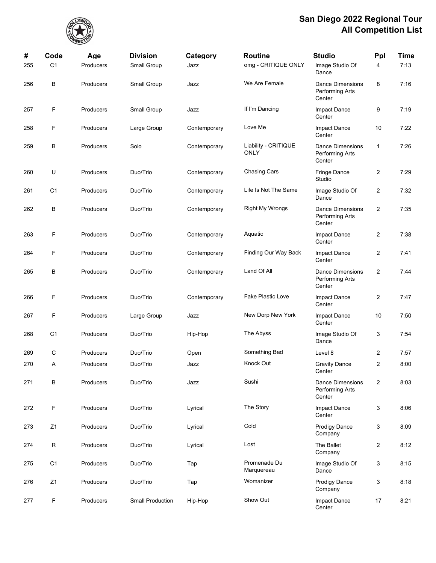

| #   | Code           | Age       | <b>Division</b>         | Category     | <b>Routine</b>                      | <b>Studio</b>                                        | Ppl                     | <b>Time</b> |
|-----|----------------|-----------|-------------------------|--------------|-------------------------------------|------------------------------------------------------|-------------------------|-------------|
| 255 | C <sub>1</sub> | Producers | Small Group             | Jazz         | omg - CRITIQUE ONLY                 | Image Studio Of<br>Dance                             | 4                       | 7:13        |
| 256 | В              | Producers | Small Group             | Jazz         | We Are Female                       | <b>Dance Dimensions</b><br>Performing Arts<br>Center | 8                       | 7:16        |
| 257 | F              | Producers | Small Group             | Jazz         | If I'm Dancing                      | Impact Dance<br>Center                               | 9                       | 7:19        |
| 258 | F              | Producers | Large Group             | Contemporary | Love Me                             | Impact Dance<br>Center                               | 10                      | 7:22        |
| 259 | В              | Producers | Solo                    | Contemporary | Liability - CRITIQUE<br><b>ONLY</b> | <b>Dance Dimensions</b><br>Performing Arts<br>Center | 1                       | 7:26        |
| 260 | U              | Producers | Duo/Trio                | Contemporary | <b>Chasing Cars</b>                 | <b>Fringe Dance</b><br>Studio                        | $\overline{c}$          | 7:29        |
| 261 | C <sub>1</sub> | Producers | Duo/Trio                | Contemporary | Life Is Not The Same                | Image Studio Of<br>Dance                             | $\overline{c}$          | 7:32        |
| 262 | В              | Producers | Duo/Trio                | Contemporary | <b>Right My Wrongs</b>              | <b>Dance Dimensions</b><br>Performing Arts<br>Center | $\overline{2}$          | 7:35        |
| 263 | F              | Producers | Duo/Trio                | Contemporary | Aquatic                             | Impact Dance<br>Center                               | $\overline{c}$          | 7:38        |
| 264 | F              | Producers | Duo/Trio                | Contemporary | Finding Our Way Back                | Impact Dance<br>Center                               | $\overline{c}$          | 7:41        |
| 265 | В              | Producers | Duo/Trio                | Contemporary | Land Of All                         | <b>Dance Dimensions</b><br>Performing Arts<br>Center | $\overline{2}$          | 7.44        |
| 266 | F              | Producers | Duo/Trio                | Contemporary | <b>Fake Plastic Love</b>            | Impact Dance<br>Center                               | $\overline{c}$          | 7:47        |
| 267 | F              | Producers | Large Group             | Jazz         | New Dorp New York                   | Impact Dance<br>Center                               | 10                      | 7:50        |
| 268 | C <sub>1</sub> | Producers | Duo/Trio                | Hip-Hop      | The Abyss                           | Image Studio Of<br>Dance                             | 3                       | 7:54        |
| 269 | С              | Producers | Duo/Trio                | Open         | Something Bad                       | Level 8                                              | $\overline{2}$          | 7:57        |
| 270 | Α              | Producers | Duo/Trio                | Jazz         | Knock Out                           | <b>Gravity Dance</b><br>Center                       | $\overline{2}$          | 8:00        |
| 271 | В              | Producers | Duo/Trio                | Jazz         | Sushi                               | <b>Dance Dimensions</b><br>Performing Arts<br>Center | $\overline{\mathbf{c}}$ | 8:03        |
| 272 | F              | Producers | Duo/Trio                | Lyrical      | The Story                           | Impact Dance<br>Center                               | 3                       | 8:06        |
| 273 | Z1             | Producers | Duo/Trio                | Lyrical      | Cold                                | <b>Prodigy Dance</b><br>Company                      | 3                       | 8:09        |
| 274 | R              | Producers | Duo/Trio                | Lyrical      | Lost                                | The Ballet<br>Company                                | $\overline{2}$          | 8:12        |
| 275 | C <sub>1</sub> | Producers | Duo/Trio                | Tap          | Promenade Du<br>Marquereau          | Image Studio Of<br>Dance                             | 3                       | 8:15        |
| 276 | Z1             | Producers | Duo/Trio                | Tap          | Womanizer                           | Prodigy Dance<br>Company                             | 3                       | 8:18        |
| 277 | F              | Producers | <b>Small Production</b> | Hip-Hop      | Show Out                            | Impact Dance<br>Center                               | 17                      | 8:21        |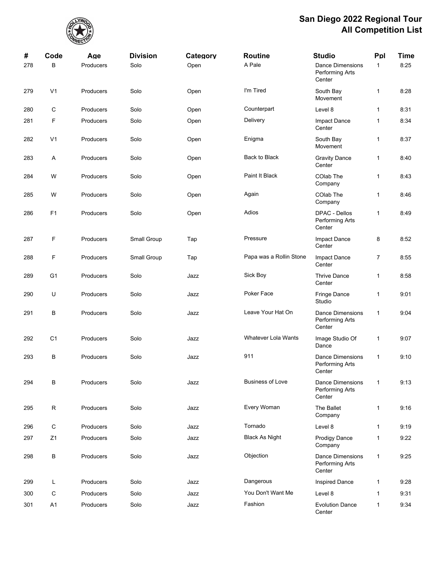

| #   | Code           | Age              | <b>Division</b> | Category | <b>Routine</b>             | <b>Studio</b>                                               | Ppl            | <b>Time</b> |
|-----|----------------|------------------|-----------------|----------|----------------------------|-------------------------------------------------------------|----------------|-------------|
| 278 | B              | Producers        | Solo            | Open     | A Pale                     | <b>Dance Dimensions</b><br>Performing Arts<br>Center        | $\mathbf{1}$   | 8:25        |
| 279 | V <sub>1</sub> | Producers        | Solo            | Open     | I'm Tired                  | South Bay<br>Movement                                       | $\mathbf{1}$   | 8:28        |
| 280 | С              | Producers        | Solo            | Open     | Counterpart                | Level 8                                                     | 1              | 8:31        |
| 281 | F              | Producers        | Solo            | Open     | Delivery                   | Impact Dance<br>Center                                      | $\mathbf{1}$   | 8:34        |
| 282 | V <sub>1</sub> | Producers        | Solo            | Open     | Enigma                     | South Bay<br>Movement                                       | 1              | 8:37        |
| 283 | Α              | Producers        | Solo            | Open     | Back to Black              | <b>Gravity Dance</b><br>Center                              | $\mathbf{1}$   | 8:40        |
| 284 | W              | Producers        | Solo            | Open     | Paint It Black             | COlab The<br>Company                                        | $\mathbf{1}$   | 8:43        |
| 285 | W              | Producers        | Solo            | Open     | Again                      | COlab The<br>Company                                        | 1              | 8:46        |
| 286 | F <sub>1</sub> | Producers        | Solo            | Open     | Adios                      | DPAC - Dellos<br>Performing Arts<br>Center                  | 1              | 8:49        |
| 287 | F              | Producers        | Small Group     | Tap      | Pressure                   | Impact Dance<br>Center                                      | 8              | 8:52        |
| 288 | F              | Producers        | Small Group     | Tap      | Papa was a Rollin Stone    | Impact Dance<br>Center                                      | $\overline{7}$ | 8:55        |
| 289 | G <sub>1</sub> | Producers        | Solo            | Jazz     | Sick Boy                   | <b>Thrive Dance</b><br>Center                               | 1              | 8:58        |
| 290 | U              | Producers        | Solo            | Jazz     | Poker Face                 | Fringe Dance<br>Studio                                      | $\mathbf{1}$   | 9:01        |
| 291 | В              | Producers        | Solo            | Jazz     | Leave Your Hat On          | <b>Dance Dimensions</b><br>Performing Arts<br>Center        | $\mathbf{1}$   | 9:04        |
| 292 | C <sub>1</sub> | Producers        | Solo            | Jazz     | <b>Whatever Lola Wants</b> | Image Studio Of<br>Dance                                    | 1              | 9:07        |
| 293 | В              | Producers        | Solo            | Jazz     | 911                        | <b>Dance Dimensions</b><br><b>Performing Arts</b><br>Center | $\mathbf{1}$   | 9:10        |
| 294 | B              | Producers        | Solo            | Jazz     | <b>Business of Love</b>    | <b>Dance Dimensions</b><br>Performing Arts<br>Center        | $\mathbf{1}$   | 9:13        |
| 295 | R              | Producers        | Solo            | Jazz     | Every Woman                | The Ballet<br>Company                                       | $\mathbf{1}$   | 9:16        |
| 296 | С              | Producers        | Solo            | Jazz     | Tornado                    | Level 8                                                     | $\mathbf{1}$   | 9:19        |
| 297 | Z1             | Producers        | Solo            | Jazz     | <b>Black As Night</b>      | <b>Prodigy Dance</b><br>Company                             | $\mathbf{1}$   | 9:22        |
| 298 | В              | <b>Producers</b> | Solo            | Jazz     | Objection                  | <b>Dance Dimensions</b><br>Performing Arts<br>Center        | $\mathbf{1}$   | 9:25        |
| 299 | L              | Producers        | Solo            | Jazz     | Dangerous                  | Inspired Dance                                              | 1              | 9:28        |
| 300 | C              | Producers        | Solo            | Jazz     | You Don't Want Me          | Level 8                                                     | $\mathbf{1}$   | 9:31        |
| 301 | A1             | Producers        | Solo            | Jazz     | Fashion                    | <b>Evolution Dance</b><br>Center                            | $\mathbf{1}$   | 9:34        |